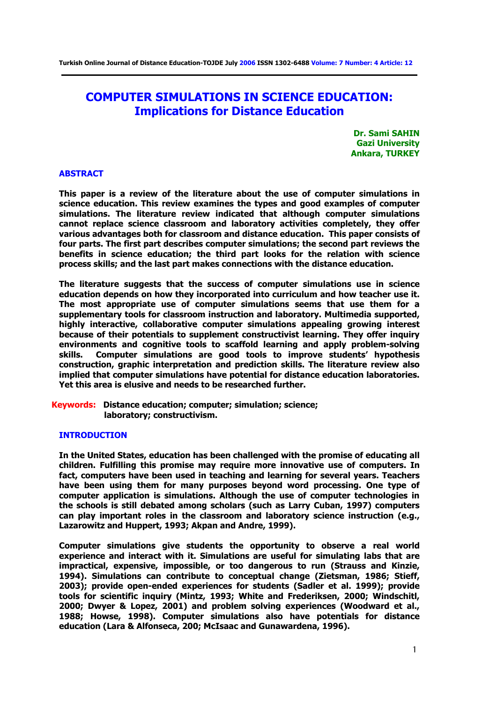**Turkish Online Journal of Distance Education-TOJDE July 2006 ISSN 1302-6488 Volume: 7 Number: 4 Article: 12**

# **COMPUTER SIMULATIONS IN SCIENCE EDUCATION: Implications for Distance Education**

**Dr. Sami SAHIN Gazi University Ankara, TURKEY** 

# **ABSTRACT**

**This paper is a review of the literature about the use of computer simulations in science education. This review examines the types and good examples of computer simulations. The literature review indicated that although computer simulations cannot replace science classroom and laboratory activities completely, they offer various advantages both for classroom and distance education. This paper consists of four parts. The first part describes computer simulations; the second part reviews the benefits in science education; the third part looks for the relation with science process skills; and the last part makes connections with the distance education.** 

**The literature suggests that the success of computer simulations use in science education depends on how they incorporated into curriculum and how teacher use it. The most appropriate use of computer simulations seems that use them for a supplementary tools for classroom instruction and laboratory. Multimedia supported, highly interactive, collaborative computer simulations appealing growing interest because of their potentials to supplement constructivist learning. They offer inquiry environments and cognitive tools to scaffold learning and apply problem-solving skills. Computer simulations are good tools to improve students' hypothesis construction, graphic interpretation and prediction skills. The literature review also implied that computer simulations have potential for distance education laboratories. Yet this area is elusive and needs to be researched further.** 

# **Keywords: Distance education; computer; simulation; science; laboratory; constructivism.**

#### **INTRODUCTION**

**In the United States, education has been challenged with the promise of educating all children. Fulfilling this promise may require more innovative use of computers. In fact, computers have been used in teaching and learning for several years. Teachers have been using them for many purposes beyond word processing. One type of computer application is simulations. Although the use of computer technologies in the schools is still debated among scholars (such as Larry Cuban, 1997) computers can play important roles in the classroom and laboratory science instruction (e.g., Lazarowitz and Huppert, 1993; Akpan and Andre, 1999).** 

**Computer simulations give students the opportunity to observe a real world experience and interact with it. Simulations are useful for simulating labs that are impractical, expensive, impossible, or too dangerous to run (Strauss and Kinzie, 1994). Simulations can contribute to conceptual change (Zietsman, 1986; Stieff, 2003); provide open-ended experiences for students (Sadler et al. 1999); provide tools for scientific inquiry (Mintz, 1993; White and Frederiksen, 2000; Windschitl, 2000; Dwyer & Lopez, 2001) and problem solving experiences (Woodward et al., 1988; Howse, 1998). Computer simulations also have potentials for distance education (Lara & Alfonseca, 200; McIsaac and Gunawardena, 1996).**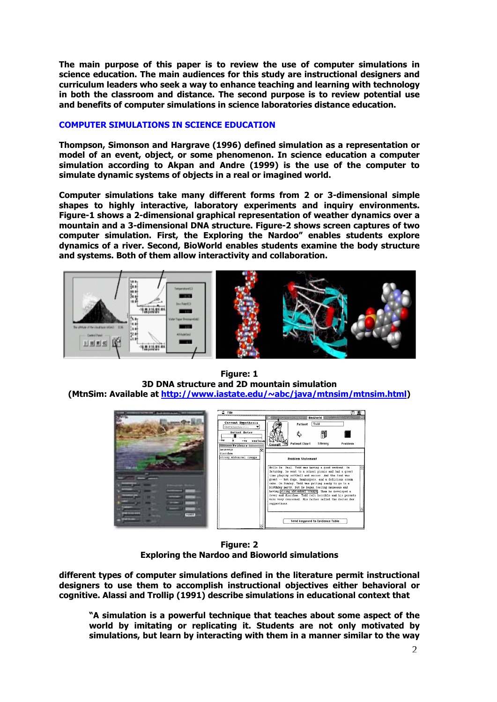**The main purpose of this paper is to review the use of computer simulations in science education. The main audiences for this study are instructional designers and curriculum leaders who seek a way to enhance teaching and learning with technology in both the classroom and distance. The second purpose is to review potential use and benefits of computer simulations in science laboratories distance education.** 

# **COMPUTER SIMULATIONS IN SCIENCE EDUCATION**

**Thompson, Simonson and Hargrave (1996) defined simulation as a representation or model of an event, object, or some phenomenon. In science education a computer simulation according to Akpan and Andre (1999) is the use of the computer to simulate dynamic systems of objects in a real or imagined world.** 

**Computer simulations take many different forms from 2 or 3-dimensional simple shapes to highly interactive, laboratory experiments and inquiry environments. Figure-1 shows a 2-dimensional graphical representation of weather dynamics over a mountain and a 3-dimensional DNA structure. Figure-2 shows screen captures of two computer simulation. First, the Exploring the Nardoo" enables students explore dynamics of a river. Second, BioWorld enables students examine the body structure and systems. Both of them allow interactivity and collaboration.** 



**Figure: 1 3D DNA structure and 2D mountain simulation (MtnSim: Available at [http://www.iastate.edu/~abc/java/mtnsim/mtnsim.html](http://www.iastate.edu/%7Eabc/java/mtnsim/mtnsim.html))** 



**Figure: 2 Exploring the Nardoo and Bioworld simulations** 

**different types of computer simulations defined in the literature permit instructional designers to use them to accomplish instructional objectives either behavioral or cognitive. Alassi and Trollip (1991) describe simulations in educational context that** 

**"A simulation is a powerful technique that teaches about some aspect of the world by imitating or replicating it. Students are not only motivated by simulations, but learn by interacting with them in a manner similar to the way**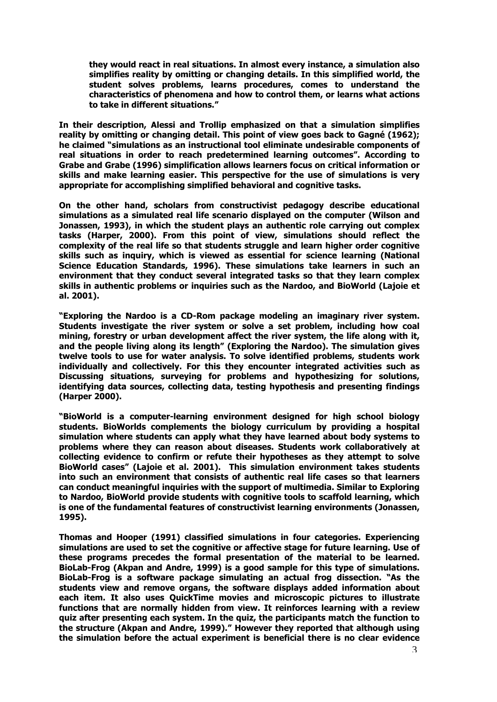**they would react in real situations. In almost every instance, a simulation also simplifies reality by omitting or changing details. In this simplified world, the student solves problems, learns procedures, comes to understand the characteristics of phenomena and how to control them, or learns what actions to take in different situations."** 

**In their description, Alessi and Trollip emphasized on that a simulation simplifies reality by omitting or changing detail. This point of view goes back to Gagné (1962); he claimed "simulations as an instructional tool eliminate undesirable components of real situations in order to reach predetermined learning outcomes". According to Grabe and Grabe (1996) simplification allows learners focus on critical information or skills and make learning easier. This perspective for the use of simulations is very appropriate for accomplishing simplified behavioral and cognitive tasks.** 

**On the other hand, scholars from constructivist pedagogy describe educational simulations as a simulated real life scenario displayed on the computer (Wilson and Jonassen, 1993), in which the student plays an authentic role carrying out complex tasks (Harper, 2000). From this point of view, simulations should reflect the complexity of the real life so that students struggle and learn higher order cognitive skills such as inquiry, which is viewed as essential for science learning (National Science Education Standards, 1996). These simulations take learners in such an environment that they conduct several integrated tasks so that they learn complex skills in authentic problems or inquiries such as the Nardoo, and BioWorld (Lajoie et al. 2001).** 

**"Exploring the Nardoo is a CD-Rom package modeling an imaginary river system. Students investigate the river system or solve a set problem, including how coal mining, forestry or urban development affect the river system, the life along with it, and the people living along its length" (Exploring the Nardoo). The simulation gives twelve tools to use for water analysis. To solve identified problems, students work individually and collectively. For this they encounter integrated activities such as Discussing situations, surveying for problems and hypothesizing for solutions, identifying data sources, collecting data, testing hypothesis and presenting findings (Harper 2000).** 

**"BioWorld is a computer-learning environment designed for high school biology students. BioWorlds complements the biology curriculum by providing a hospital simulation where students can apply what they have learned about body systems to problems where they can reason about diseases. Students work collaboratively at collecting evidence to confirm or refute their hypotheses as they attempt to solve BioWorld cases" (Lajoie et al. 2001). This simulation environment takes students into such an environment that consists of authentic real life cases so that learners can conduct meaningful inquiries with the support of multimedia. Similar to Exploring to Nardoo, BioWorld provide students with cognitive tools to scaffold learning, which is one of the fundamental features of constructivist learning environments (Jonassen, 1995).** 

**Thomas and Hooper (1991) classified simulations in four categories. Experiencing simulations are used to set the cognitive or affective stage for future learning. Use of these programs precedes the formal presentation of the material to be learned. BioLab-Frog (Akpan and Andre, 1999) is a good sample for this type of simulations. BioLab-Frog is a software package simulating an actual frog dissection. "As the students view and remove organs, the software displays added information about each item. It also uses QuickTime movies and microscopic pictures to illustrate functions that are normally hidden from view. It reinforces learning with a review quiz after presenting each system. In the quiz, the participants match the function to the structure (Akpan and Andre, 1999)." However they reported that although using the simulation before the actual experiment is beneficial there is no clear evidence**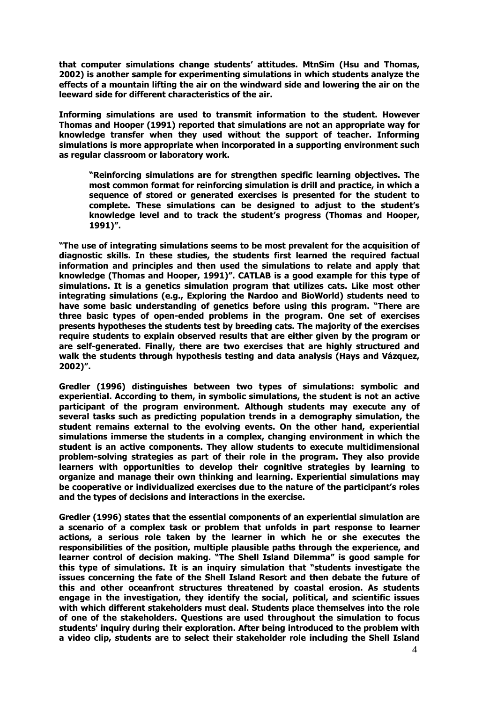**that computer simulations change students' attitudes. MtnSim (Hsu and Thomas, 2002) is another sample for experimenting simulations in which students analyze the effects of a mountain lifting the air on the windward side and lowering the air on the leeward side for different characteristics of the air.** 

**Informing simulations are used to transmit information to the student. However Thomas and Hooper (1991) reported that simulations are not an appropriate way for knowledge transfer when they used without the support of teacher. Informing simulations is more appropriate when incorporated in a supporting environment such as regular classroom or laboratory work.** 

**"Reinforcing simulations are for strengthen specific learning objectives. The most common format for reinforcing simulation is drill and practice, in which a sequence of stored or generated exercises is presented for the student to complete. These simulations can be designed to adjust to the student's knowledge level and to track the student's progress (Thomas and Hooper, 1991)".** 

**"The use of integrating simulations seems to be most prevalent for the acquisition of diagnostic skills. In these studies, the students first learned the required factual information and principles and then used the simulations to relate and apply that knowledge (Thomas and Hooper, 1991)". CATLAB is a good example for this type of simulations. It is a genetics simulation program that utilizes cats. Like most other integrating simulations (e.g., Exploring the Nardoo and BioWorld) students need to have some basic understanding of genetics before using this program. "There are three basic types of open-ended problems in the program. One set of exercises presents hypotheses the students test by breeding cats. The majority of the exercises require students to explain observed results that are either given by the program or are self-generated. Finally, there are two exercises that are highly structured and walk the students through hypothesis testing and data analysis (Hays and Vázquez, 2002)".** 

**Gredler (1996) distinguishes between two types of simulations: symbolic and experiential. According to them, in symbolic simulations, the student is not an active participant of the program environment. Although students may execute any of several tasks such as predicting population trends in a demography simulation, the student remains external to the evolving events. On the other hand, experiential simulations immerse the students in a complex, changing environment in which the student is an active components. They allow students to execute multidimensional problem-solving strategies as part of their role in the program. They also provide learners with opportunities to develop their cognitive strategies by learning to organize and manage their own thinking and learning. Experiential simulations may be cooperative or individualized exercises due to the nature of the participant's roles and the types of decisions and interactions in the exercise.** 

**Gredler (1996) states that the essential components of an experiential simulation are a scenario of a complex task or problem that unfolds in part response to learner actions, a serious role taken by the learner in which he or she executes the responsibilities of the position, multiple plausible paths through the experience, and learner control of decision making. "The Shell Island Dilemma" is good sample for this type of simulations. It is an inquiry simulation that "students investigate the issues concerning the fate of the Shell Island Resort and then debate the future of this and other oceanfront structures threatened by coastal erosion. As students engage in the investigation, they identify the social, political, and scientific issues with which different stakeholders must deal. Students place themselves into the role of one of the stakeholders. Questions are used throughout the simulation to focus students' inquiry during their exploration. After being introduced to the problem with a video clip, students are to select their stakeholder role including the Shell Island**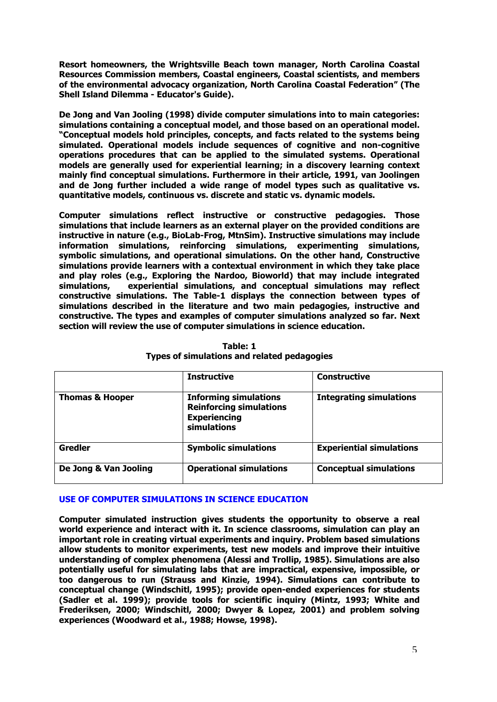**Resort homeowners, the Wrightsville Beach town manager, North Carolina Coastal Resources Commission members, Coastal engineers, Coastal scientists, and members of the environmental advocacy organization, North Carolina Coastal Federation" (The Shell Island Dilemma - Educator's Guide).** 

**De Jong and Van Jooling (1998) divide computer simulations into to main categories: simulations containing a conceptual model, and those based on an operational model. "Conceptual models hold principles, concepts, and facts related to the systems being simulated. Operational models include sequences of cognitive and non-cognitive operations procedures that can be applied to the simulated systems. Operational models are generally used for experiential learning; in a discovery learning context mainly find conceptual simulations. Furthermore in their article, 1991, van Joolingen and de Jong further included a wide range of model types such as qualitative vs. quantitative models, continuous vs. discrete and static vs. dynamic models.** 

**Computer simulations reflect instructive or constructive pedagogies. Those simulations that include learners as an external player on the provided conditions are instructive in nature (e.g., BioLab-Frog, MtnSim). Instructive simulations may include information simulations, reinforcing simulations, experimenting simulations, symbolic simulations, and operational simulations. On the other hand, Constructive simulations provide learners with a contextual environment in which they take place and play roles (e.g., Exploring the Nardoo, Bioworld) that may include integrated simulations, experiential simulations, and conceptual simulations may reflect constructive simulations. The Table-1 displays the connection between types of simulations described in the literature and two main pedagogies, instructive and constructive. The types and examples of computer simulations analyzed so far. Next section will review the use of computer simulations in science education.** 

|                            | <b>Instructive</b>                                                                                   | <b>Constructive</b>             |
|----------------------------|------------------------------------------------------------------------------------------------------|---------------------------------|
| <b>Thomas &amp; Hooper</b> | <b>Informing simulations</b><br><b>Reinforcing simulations</b><br><b>Experiencing</b><br>simulations | <b>Integrating simulations</b>  |
| <b>Gredler</b>             | <b>Symbolic simulations</b>                                                                          | <b>Experiential simulations</b> |
| De Jong & Van Jooling      | <b>Operational simulations</b>                                                                       | <b>Conceptual simulations</b>   |

**Table: 1 Types of simulations and related pedagogies** 

# **USE OF COMPUTER SIMULATIONS IN SCIENCE EDUCATION**

**Computer simulated instruction gives students the opportunity to observe a real world experience and interact with it. In science classrooms, simulation can play an important role in creating virtual experiments and inquiry. Problem based simulations allow students to monitor experiments, test new models and improve their intuitive understanding of complex phenomena (Alessi and Trollip, 1985). Simulations are also potentially useful for simulating labs that are impractical, expensive, impossible, or too dangerous to run (Strauss and Kinzie, 1994). Simulations can contribute to conceptual change (Windschitl, 1995); provide open-ended experiences for students (Sadler et al. 1999); provide tools for scientific inquiry (Mintz, 1993; White and Frederiksen, 2000; Windschitl, 2000; Dwyer & Lopez, 2001) and problem solving experiences (Woodward et al., 1988; Howse, 1998).**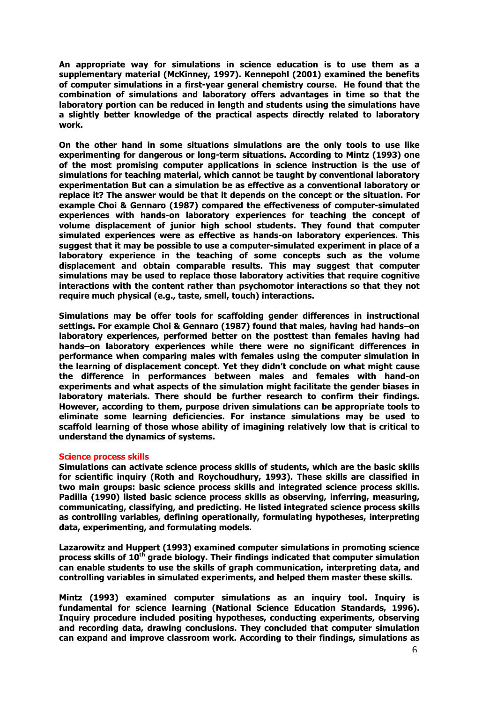**An appropriate way for simulations in science education is to use them as a supplementary material (McKinney, 1997). Kennepohl (2001) examined the benefits of computer simulations in a first-year general chemistry course. He found that the combination of simulations and laboratory offers advantages in time so that the laboratory portion can be reduced in length and students using the simulations have a slightly better knowledge of the practical aspects directly related to laboratory work.**

**On the other hand in some situations simulations are the only tools to use like experimenting for dangerous or long-term situations. According to Mintz (1993) one of the most promising computer applications in science instruction is the use of simulations for teaching material, which cannot be taught by conventional laboratory experimentation But can a simulation be as effective as a conventional laboratory or replace it? The answer would be that it depends on the concept or the situation. For example Choi & Gennaro (1987) compared the effectiveness of computer-simulated experiences with hands-on laboratory experiences for teaching the concept of volume displacement of junior high school students. They found that computer simulated experiences were as effective as hands-on laboratory experiences. This suggest that it may be possible to use a computer-simulated experiment in place of a laboratory experience in the teaching of some concepts such as the volume displacement and obtain comparable results. This may suggest that computer simulations may be used to replace those laboratory activities that require cognitive interactions with the content rather than psychomotor interactions so that they not require much physical (e.g., taste, smell, touch) interactions.** 

**Simulations may be offer tools for scaffolding gender differences in instructional settings. For example Choi & Gennaro (1987) found that males, having had hands–on laboratory experiences, performed better on the posttest than females having had hands–on laboratory experiences while there were no significant differences in performance when comparing males with females using the computer simulation in the learning of displacement concept. Yet they didn't conclude on what might cause the difference in performances between males and females with hand-on experiments and what aspects of the simulation might facilitate the gender biases in laboratory materials. There should be further research to confirm their findings. However, according to them, purpose driven simulations can be appropriate tools to eliminate some learning deficiencies. For instance simulations may be used to scaffold learning of those whose ability of imagining relatively low that is critical to understand the dynamics of systems.** 

#### **Science process skills**

**Simulations can activate science process skills of students, which are the basic skills for scientific inquiry (Roth and Roychoudhury, 1993). These skills are classified in two main groups: basic science process skills and integrated science process skills. Padilla (1990) listed basic science process skills as observing, inferring, measuring, communicating, classifying, and predicting. He listed integrated science process skills as controlling variables, defining operationally, formulating hypotheses, interpreting data, experimenting, and formulating models.** 

**Lazarowitz and Huppert (1993) examined computer simulations in promoting science**  process skills of 10<sup>th</sup> grade biology. Their findings indicated that computer simulation **can enable students to use the skills of graph communication, interpreting data, and controlling variables in simulated experiments, and helped them master these skills.** 

**Mintz (1993) examined computer simulations as an inquiry tool. Inquiry is fundamental for science learning (National Science Education Standards, 1996). Inquiry procedure included positing hypotheses, conducting experiments, observing and recording data, drawing conclusions. They concluded that computer simulation can expand and improve classroom work. According to their findings, simulations as**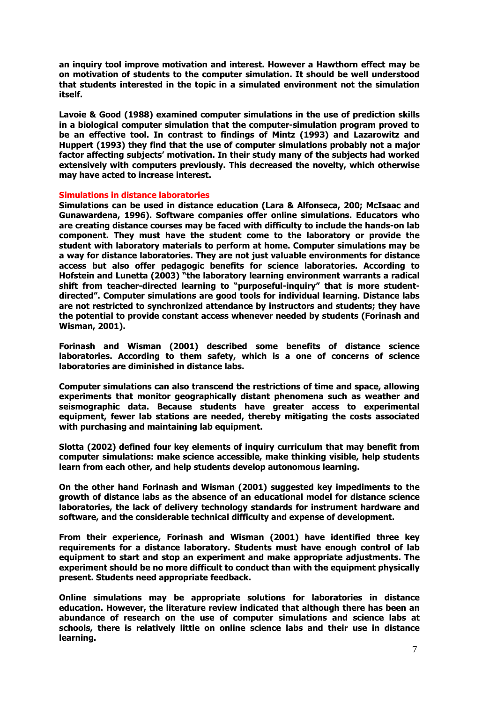**an inquiry tool improve motivation and interest. However a Hawthorn effect may be on motivation of students to the computer simulation. It should be well understood that students interested in the topic in a simulated environment not the simulation itself.** 

**Lavoie & Good (1988) examined computer simulations in the use of prediction skills in a biological computer simulation that the computer-simulation program proved to be an effective tool. In contrast to findings of Mintz (1993) and Lazarowitz and Huppert (1993) they find that the use of computer simulations probably not a major factor affecting subjects' motivation. In their study many of the subjects had worked extensively with computers previously. This decreased the novelty, which otherwise may have acted to increase interest.** 

#### **Simulations in distance laboratories**

**Simulations can be used in distance education (Lara & Alfonseca, 200; McIsaac and Gunawardena, 1996). Software companies offer online simulations. Educators who are creating distance courses may be faced with difficulty to include the hands-on lab component. They must have the student come to the laboratory or provide the student with laboratory materials to perform at home. Computer simulations may be a way for distance laboratories. They are not just valuable environments for distance access but also offer pedagogic benefits for science laboratories. According to Hofstein and Lunetta (2003) "the laboratory learning environment warrants a radical shift from teacher-directed learning to "purposeful-inquiry" that is more studentdirected". Computer simulations are good tools for individual learning. Distance labs are not restricted to synchronized attendance by instructors and students; they have the potential to provide constant access whenever needed by students (Forinash and Wisman, 2001).** 

**Forinash and Wisman (2001) described some benefits of distance science laboratories. According to them safety, which is a one of concerns of science laboratories are diminished in distance labs.** 

**Computer simulations can also transcend the restrictions of time and space, allowing experiments that monitor geographically distant phenomena such as weather and seismographic data. Because students have greater access to experimental equipment, fewer lab stations are needed, thereby mitigating the costs associated with purchasing and maintaining lab equipment.** 

**Slotta (2002) defined four key elements of inquiry curriculum that may benefit from computer simulations: make science accessible, make thinking visible, help students learn from each other, and help students develop autonomous learning.** 

**On the other hand Forinash and Wisman (2001) suggested key impediments to the growth of distance labs as the absence of an educational model for distance science laboratories, the lack of delivery technology standards for instrument hardware and software, and the considerable technical difficulty and expense of development.** 

**From their experience, Forinash and Wisman (2001) have identified three key requirements for a distance laboratory. Students must have enough control of lab equipment to start and stop an experiment and make appropriate adjustments. The experiment should be no more difficult to conduct than with the equipment physically present. Students need appropriate feedback.** 

**Online simulations may be appropriate solutions for laboratories in distance education. However, the literature review indicated that although there has been an abundance of research on the use of computer simulations and science labs at schools, there is relatively little on online science labs and their use in distance learning.**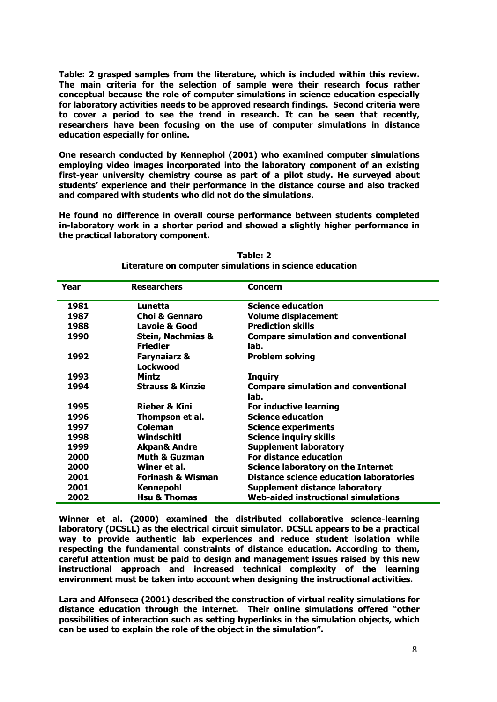**Table: 2 grasped samples from the literature, which is included within this review. The main criteria for the selection of sample were their research focus rather conceptual because the role of computer simulations in science education especially for laboratory activities needs to be approved research findings. Second criteria were to cover a period to see the trend in research. It can be seen that recently, researchers have been focusing on the use of computer simulations in distance education especially for online.** 

**One research conducted by Kennephol (2001) who examined computer simulations employing video images incorporated into the laboratory component of an existing first-year university chemistry course as part of a pilot study. He surveyed about students' experience and their performance in the distance course and also tracked and compared with students who did not do the simulations.** 

**He found no difference in overall course performance between students completed in-laboratory work in a shorter period and showed a slightly higher performance in the practical laboratory component.** 

| Year | <b>Researchers</b>                              | Concern                                            |
|------|-------------------------------------------------|----------------------------------------------------|
| 1981 | Lunetta                                         | <b>Science education</b>                           |
| 1987 | <b>Choi &amp; Gennaro</b>                       | <b>Volume displacement</b>                         |
| 1988 | <b>Lavoie &amp; Good</b>                        | <b>Prediction skills</b>                           |
| 1990 | <b>Stein, Nachmias &amp;</b><br><b>Friedler</b> | <b>Compare simulation and conventional</b><br>lab. |
| 1992 | <b>Farynaiarz &amp;</b><br>Lockwood             | <b>Problem solving</b>                             |
| 1993 | Mintz                                           | <b>Inquiry</b>                                     |
| 1994 | <b>Strauss &amp; Kinzie</b>                     | <b>Compare simulation and conventional</b><br>lab. |
| 1995 | <b>Rieber &amp; Kini</b>                        | For inductive learning                             |
| 1996 | Thompson et al.                                 | <b>Science education</b>                           |
| 1997 | Coleman                                         | <b>Science experiments</b>                         |
| 1998 | Windschitl                                      | <b>Science inquiry skills</b>                      |
| 1999 | <b>Akpan&amp; Andre</b>                         | <b>Supplement laboratory</b>                       |
| 2000 | <b>Muth &amp; Guzman</b>                        | For distance education                             |
| 2000 | Winer et al.                                    | Science laboratory on the Internet                 |
| 2001 | <b>Forinash &amp; Wisman</b>                    | <b>Distance science education laboratories</b>     |
| 2001 | Kennepohl                                       | <b>Supplement distance laboratory</b>              |
| 2002 | <b>Hsu &amp; Thomas</b>                         | <b>Web-aided instructional simulations</b>         |

**Table: 2 Literature on computer simulations in science education** 

**Winner et al. (2000) examined the distributed collaborative science-learning laboratory (DCSLL) as the electrical circuit simulator. DCSLL appears to be a practical way to provide authentic lab experiences and reduce student isolation while respecting the fundamental constraints of distance education. According to them, careful attention must be paid to design and management issues raised by this new instructional approach and increased technical complexity of the learning environment must be taken into account when designing the instructional activities.** 

**Lara and Alfonseca (2001) described the construction of virtual reality simulations for distance education through the internet. Their online simulations offered "other possibilities of interaction such as setting hyperlinks in the simulation objects, which can be used to explain the role of the object in the simulation".**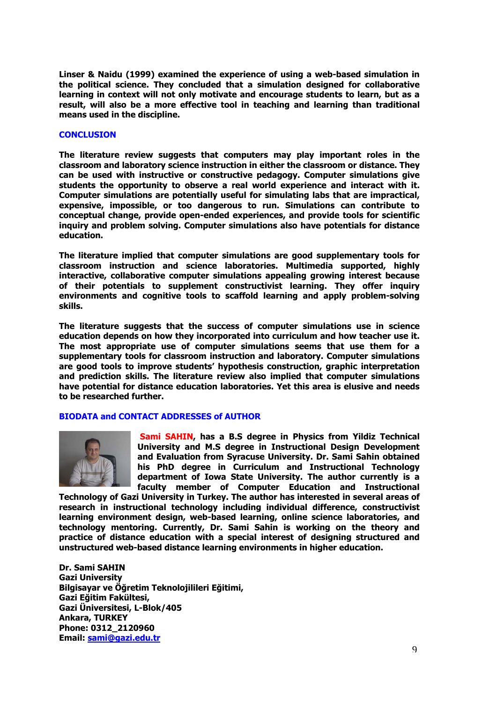**Linser & Naidu (1999) examined the experience of using a web-based simulation in the political science. They concluded that a simulation designed for collaborative learning in context will not only motivate and encourage students to learn, but as a result, will also be a more effective tool in teaching and learning than traditional means used in the discipline.** 

#### **CONCLUSION**

**The literature review suggests that computers may play important roles in the classroom and laboratory science instruction in either the classroom or distance. They can be used with instructive or constructive pedagogy. Computer simulations give students the opportunity to observe a real world experience and interact with it. Computer simulations are potentially useful for simulating labs that are impractical, expensive, impossible, or too dangerous to run. Simulations can contribute to conceptual change, provide open-ended experiences, and provide tools for scientific inquiry and problem solving. Computer simulations also have potentials for distance education.** 

**The literature implied that computer simulations are good supplementary tools for classroom instruction and science laboratories. Multimedia supported, highly interactive, collaborative computer simulations appealing growing interest because of their potentials to supplement constructivist learning. They offer inquiry environments and cognitive tools to scaffold learning and apply problem-solving skills.** 

**The literature suggests that the success of computer simulations use in science education depends on how they incorporated into curriculum and how teacher use it. The most appropriate use of computer simulations seems that use them for a supplementary tools for classroom instruction and laboratory. Computer simulations are good tools to improve students' hypothesis construction, graphic interpretation and prediction skills. The literature review also implied that computer simulations have potential for distance education laboratories. Yet this area is elusive and needs to be researched further.** 

# **BIODATA and CONTACT ADDRESSES of AUTHOR**



 **Sami SAHIN, has a B.S degree in Physics from Yildiz Technical University and M.S degree in Instructional Design Development and Evaluation from Syracuse University. Dr. Sami Sahin obtained his PhD degree in Curriculum and Instructional Technology department of Iowa State University. The author currently is a faculty member of Computer Education and Instructional** 

**Technology of Gazi University in Turkey. The author has interested in several areas of research in instructional technology including individual difference, constructivist learning environment design, web-based learning, online science laboratories, and technology mentoring. Currently, Dr. Sami Sahin is working on the theory and practice of distance education with a special interest of designing structured and unstructured web-based distance learning environments in higher education.** 

**Dr. Sami SAHIN Gazi University Bilgisayar ve Öğretim Teknolojilileri Eğitimi, Gazi Eğitim Fakültesi, Gazi Üniversitesi, L-Blok/405 Ankara, TURKEY Phone: 0312\_2120960 Email: [sami@gazi.edu.tr](mailto:sami@gazi.edu.tr)**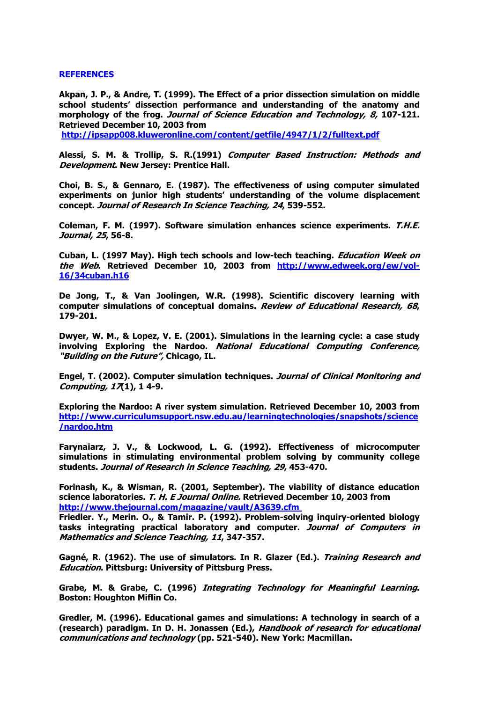#### **REFERENCES**

**Akpan, J. P., & Andre, T. (1999). The Effect of a prior dissection simulation on middle school students' dissection performance and understanding of the anatomy and morphology of the frog. Journal of Science Education and Technology, 8, 107-121. Retrieved December 10, 2003 from** 

**[http://ipsapp008.kluweronline.com/content/getfile/4947/1/2/fulltext.pdf](http://ipsapp008.kluweronline.com/content/getfile/4947%20/1/2/fulltext.pdf)** 

**Alessi, S. M. & Trollip, S. R.(1991) Computer Based Instruction: Methods and Development. New Jersey: Prentice Hall.** 

**Choi, B. S., & Gennaro, E. (1987). The effectiveness of using computer simulated experiments on junior high students' understanding of the volume displacement concept. Journal of Research In Science Teaching, 24, 539-552.** 

**Coleman, F. M. (1997). Software simulation enhances science experiments. T.H.E. Journal, 25, 56-8.** 

**Cuban, L. (1997 May). High tech schools and low-tech teaching. Education Week on the Web. Retrieved December 10, 2003 from [http://www.edweek.org/ew/vol-](http://www.edweek.org/ew/vol-16/34cuban.h16)[16/34cuban.h16](http://www.edweek.org/ew/vol-16/34cuban.h16)**

**De Jong, T., & Van Joolingen, W.R. (1998). Scientific discovery learning with computer simulations of conceptual domains. Review of Educational Research, 68, 179-201.** 

**Dwyer, W. M., & Lopez, V. E. (2001). Simulations in the learning cycle: a case study involving Exploring the Nardoo. National Educational Computing Conference, "Building on the Future", Chicago, IL.** 

**Engel, T. (2002). Computer simulation techniques. Journal of Clinical Monitoring and Computing, 17(1), 1 4-9.** 

**Exploring the Nardoo: A river system simulation. Retrieved December 10, 2003 from [http://www.curriculumsupport.nsw.edu.au/learningtechnologies/snapshots/science](http://www.curriculumsupport.nsw.edu.au/learningtechnologies/snapshots/science/nardoo.htm) [/nardoo.htm](http://www.curriculumsupport.nsw.edu.au/learningtechnologies/snapshots/science/nardoo.htm)**

**Farynaiarz, J. V., & Lockwood, L. G. (1992). Effectiveness of microcomputer simulations in stimulating environmental problem solving by community college students. Journal of Research in Science Teaching, 29, 453-470.** 

**Forinash, K., & Wisman, R. (2001, September). The viability of distance education science laboratories. T. H. E Journal Online. Retrieved December 10, 2003 from http://www.thejournal.com/magazine/vault/A3639.cfm** 

**Friedler. Y., Merin. O., & Tamir. P. (1992). Problem-solving inquiry-oriented biology tasks integrating practical laboratory and computer. Journal of Computers in Mathematics and Science Teaching, 11, 347-357.** 

**Gagné, R. (1962). The use of simulators. In R. Glazer (Ed.). Training Research and Education. Pittsburg: University of Pittsburg Press.** 

**Grabe, M. & Grabe, C. (1996) Integrating Technology for Meaningful Learning. Boston: Houghton Miflin Co.** 

**Gredler, M. (1996). Educational games and simulations: A technology in search of a (research) paradigm. In D. H. Jonassen (Ed.), Handbook of research for educational communications and technology (pp. 521-540). New York: Macmillan.**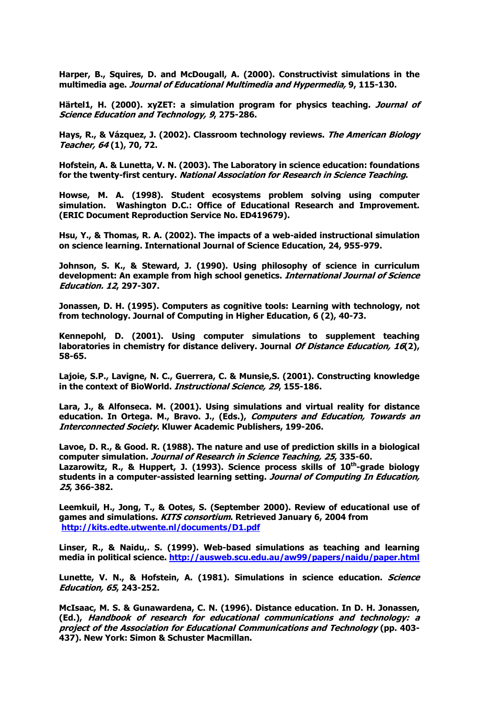**Harper, B., Squires, D. and McDougall, A. (2000). Constructivist simulations in the multimedia age. Journal of Educational Multimedia and Hypermedia, 9, 115-130.** 

**Härtel1, H. (2000). xyZET: a simulation program for physics teaching. Journal of Science Education and Technology, 9, 275-286.** 

**Hays, R., & Vázquez, J. (2002). Classroom technology reviews. The American Biology Teacher, 64 (1), 70, 72.** 

**Hofstein, A. & Lunetta, V. N. (2003). The Laboratory in science education: foundations for the twenty-first century. National Association for Research in Science Teaching.** 

**Howse, M. A. (1998). Student ecosystems problem solving using computer simulation. Washington D.C.: Office of Educational Research and Improvement. (ERIC Document Reproduction Service No. ED419679).** 

**Hsu, Y., & Thomas, R. A. (2002). The impacts of a web-aided instructional simulation on science learning. International Journal of Science Education, 24, 955-979.** 

**Johnson, S. K., & Steward, J. (1990). Using philosophy of science in curriculum development: An example from high school genetics. International Journal of Science Education. 12, 297-307.** 

**Jonassen, D. H. (1995). Computers as cognitive tools: Learning with technology, not from technology. Journal of Computing in Higher Education, 6 (2), 40-73.** 

**Kennepohl, D. (2001). Using computer simulations to supplement teaching laboratories in chemistry for distance delivery. Journal Of Distance Education, 16(2), 58-65.** 

**Lajoie, S.P., Lavigne, N. C., Guerrera, C. & Munsie,S. (2001). Constructing knowledge in the context of BioWorld. Instructional Science, 29, 155-186.** 

**Lara, J., & Alfonseca. M. (2001). Using simulations and virtual reality for distance education. In Ortega. M., Bravo. J., (Eds.), Computers and Education, Towards an Interconnected Society. Kluwer Academic Publishers, 199-206.** 

**Lavoe, D. R., & Good. R. (1988). The nature and use of prediction skills in a biological computer simulation. Journal of Research in Science Teaching, 25, 335-60.**  Lazarowitz, R., & Huppert, J. (1993). Science process skills of 10<sup>th</sup>-grade biology **students in a computer-assisted learning setting. Journal of Computing In Education, 25, 366-382.** 

**Leemkuil, H., Jong, T., & Ootes, S. (September 2000). Review of educational use of games and simulations. KITS consortium. Retrieved January 6, 2004 from <http://kits.edte.utwente.nl/documents/D1.pdf>**

**Linser, R., & Naidu,. S. (1999). Web-based simulations as teaching and learning media in political science. <http://ausweb.scu.edu.au/aw99/papers/naidu/paper.html>**

**Lunette, V. N., & Hofstein, A. (1981). Simulations in science education. Science Education, 65, 243-252.** 

**McIsaac, M. S. & Gunawardena, C. N. (1996). Distance education. In D. H. Jonassen, (Ed.), Handbook of research for educational communications and technology: a project of the Association for Educational Communications and Technology (pp. 403- 437). New York: Simon & Schuster Macmillan.**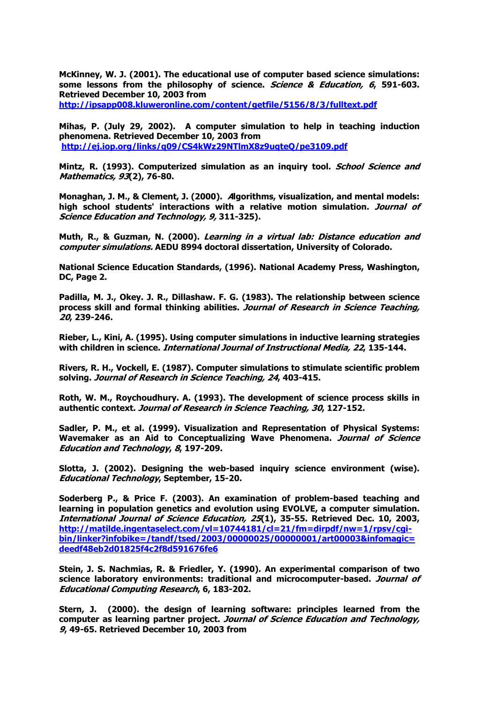**McKinney, W. J. (2001). The educational use of computer based science simulations: some lessons from the philosophy of science. Science & Education, 6, 591-603. Retrieved December 10, 2003 from [http://ipsapp008.kluweronline.com/content/getfile/5156/8/3/fulltext.pdf](http://ipsapp008.kluweronline.com/content/getfile/5156/8/3/fullte%20xt.pdf)**

**Mihas, P. (July 29, 2002). A computer simulation to help in teaching induction phenomena. Retrieved December 10, 2003 from [http://ej.iop.org/links/q09/CS4kWz29NTlmX8z9uqteQ/pe3109.pdf](http://ej.iop.org/links/q09/CS4kWz29NTl%20mX8z9uqteQ/pe3109.pdf)**

**Mintz, R. (1993). Computerized simulation as an inquiry tool. School Science and Mathematics, 93(2), 76-80.** 

**Monaghan, J. M., & Clement, J. (2000). Algorithms, visualization, and mental models: high school students' interactions with a relative motion simulation. Journal of Science Education and Technology, 9, 311-325).** 

**Muth, R., & Guzman, N. (2000). Learning in a virtual lab: Distance education and computer simulations. AEDU 8994 doctoral dissertation, University of Colorado.** 

**National Science Education Standards, (1996). National Academy Press, Washington, DC, Page 2.** 

**Padilla, M. J., Okey. J. R., Dillashaw. F. G. (1983). The relationship between science process skill and formal thinking abilities. Journal of Research in Science Teaching, 20, 239-246.** 

**Rieber, L., Kini, A. (1995). Using computer simulations in inductive learning strategies with children in science. International Journal of Instructional Media, 22, 135-144.** 

**Rivers, R. H., Vockell, E. (1987). Computer simulations to stimulate scientific problem solving. Journal of Research in Science Teaching, 24, 403-415.** 

**Roth, W. M., Roychoudhury. A. (1993). The development of science process skills in authentic context. Journal of Research in Science Teaching, 30, 127-152.** 

**Sadler, P. M., et al. (1999). Visualization and Representation of Physical Systems: Wavemaker as an Aid to Conceptualizing Wave Phenomena. Journal of Science Education and Technology, 8, 197-209.** 

**Slotta, J. (2002). Designing the web-based inquiry science environment (wise). Educational Technology, September, 15-20.** 

**Soderberg P., & Price F. (2003). An examination of problem-based teaching and learning in population genetics and evolution using EVOLVE, a computer simulation. International Journal of Science Education, 25(1), 35-55. Retrieved Dec. 10, 2003, [http://matilde.ingentaselect.com/vl=10744181/cl=21/fm=dirpdf/nw=1/rpsv/cgi](http://matilde.ingentaselect.com/vl=10744181/cl=21/fm=dirpdf/nw=1/rpsv/cgi-bin/linker?infobike=/tandf/tsed/2003/00000025/00000001/art00003&infomagic=deedf48eb2d01825f4c2f8d591676fe6)[bin/linker?infobike=/tandf/tsed/2003/00000025/00000001/art00003&infomagic=](http://matilde.ingentaselect.com/vl=10744181/cl=21/fm=dirpdf/nw=1/rpsv/cgi-bin/linker?infobike=/tandf/tsed/2003/00000025/00000001/art00003&infomagic=deedf48eb2d01825f4c2f8d591676fe6) [deedf48eb2d01825f4c2f8d591676fe6](http://matilde.ingentaselect.com/vl=10744181/cl=21/fm=dirpdf/nw=1/rpsv/cgi-bin/linker?infobike=/tandf/tsed/2003/00000025/00000001/art00003&infomagic=deedf48eb2d01825f4c2f8d591676fe6)**

**Stein, J. S. Nachmias, R. & Friedler, Y. (1990). An experimental comparison of two science laboratory environments: traditional and microcomputer-based. Journal of Educational Computing Research, 6, 183-202.** 

**Stern, J. (2000). the design of learning software: principles learned from the computer as learning partner project. Journal of Science Education and Technology, 9, 49-65. Retrieved December 10, 2003 from**